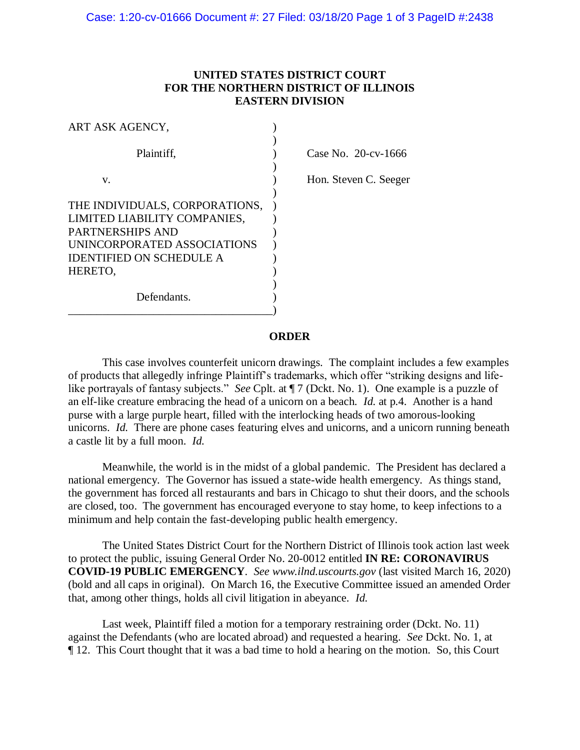## **UNITED STATES DISTRICT COURT FOR THE NORTHERN DISTRICT OF ILLINOIS EASTERN DIVISION**

| ART ASK AGENCY,                                                |                        |
|----------------------------------------------------------------|------------------------|
| Plaintiff,                                                     | Case No. $20$ -cv-1666 |
| v.                                                             | Hon. Steven C. Seeger  |
| THE INDIVIDUALS, CORPORATIONS,                                 |                        |
| LIMITED LIABILITY COMPANIES,<br><b>PARTNERSHIPS AND</b>        |                        |
| UNINCORPORATED ASSOCIATIONS<br><b>IDENTIFIED ON SCHEDULE A</b> |                        |
| HERETO,                                                        |                        |
| Defendants.                                                    |                        |

## **ORDER**

This case involves counterfeit unicorn drawings. The complaint includes a few examples of products that allegedly infringe Plaintiff's trademarks, which offer "striking designs and lifelike portrayals of fantasy subjects." *See* Cplt. at ¶ 7 (Dckt. No. 1). One example is a puzzle of an elf-like creature embracing the head of a unicorn on a beach. *Id.* at p.4. Another is a hand purse with a large purple heart, filled with the interlocking heads of two amorous-looking unicorns. *Id.* There are phone cases featuring elves and unicorns, and a unicorn running beneath a castle lit by a full moon. *Id.*

Meanwhile, the world is in the midst of a global pandemic. The President has declared a national emergency. The Governor has issued a state-wide health emergency. As things stand, the government has forced all restaurants and bars in Chicago to shut their doors, and the schools are closed, too. The government has encouraged everyone to stay home, to keep infections to a minimum and help contain the fast-developing public health emergency.

The United States District Court for the Northern District of Illinois took action last week to protect the public, issuing General Order No. 20-0012 entitled **IN RE: CORONAVIRUS COVID-19 PUBLIC EMERGENCY**. *See www.ilnd.uscourts.gov* (last visited March 16, 2020) (bold and all caps in original). On March 16, the Executive Committee issued an amended Order that, among other things, holds all civil litigation in abeyance. *Id.*

Last week, Plaintiff filed a motion for a temporary restraining order (Dckt. No. 11) against the Defendants (who are located abroad) and requested a hearing. *See* Dckt. No. 1, at ¶ 12. This Court thought that it was a bad time to hold a hearing on the motion. So, this Court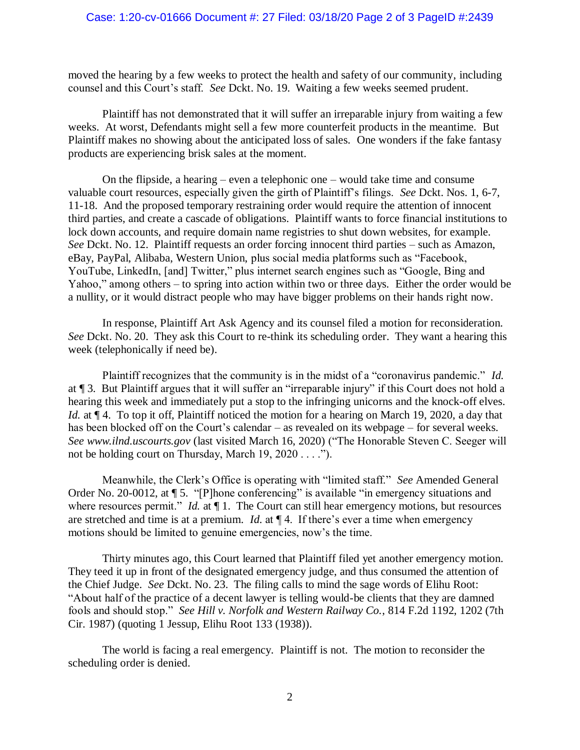## Case: 1:20-cv-01666 Document #: 27 Filed: 03/18/20 Page 2 of 3 PageID #:2439

moved the hearing by a few weeks to protect the health and safety of our community, including counsel and this Court's staff. *See* Dckt. No. 19. Waiting a few weeks seemed prudent.

Plaintiff has not demonstrated that it will suffer an irreparable injury from waiting a few weeks. At worst, Defendants might sell a few more counterfeit products in the meantime. But Plaintiff makes no showing about the anticipated loss of sales. One wonders if the fake fantasy products are experiencing brisk sales at the moment.

On the flipside, a hearing – even a telephonic one – would take time and consume valuable court resources, especially given the girth of Plaintiff's filings. *See* Dckt. Nos. 1, 6-7, 11-18. And the proposed temporary restraining order would require the attention of innocent third parties, and create a cascade of obligations. Plaintiff wants to force financial institutions to lock down accounts, and require domain name registries to shut down websites, for example. *See* Dckt. No. 12. Plaintiff requests an order forcing innocent third parties – such as Amazon, eBay, PayPal, Alibaba, Western Union, plus social media platforms such as "Facebook, YouTube, LinkedIn, [and] Twitter," plus internet search engines such as "Google, Bing and Yahoo," among others – to spring into action within two or three days. Either the order would be a nullity, or it would distract people who may have bigger problems on their hands right now.

In response, Plaintiff Art Ask Agency and its counsel filed a motion for reconsideration. *See* Dckt. No. 20. They ask this Court to re-think its scheduling order. They want a hearing this week (telephonically if need be).

Plaintiff recognizes that the community is in the midst of a "coronavirus pandemic." *Id.* at ¶ 3. But Plaintiff argues that it will suffer an "irreparable injury" if this Court does not hold a hearing this week and immediately put a stop to the infringing unicorns and the knock-off elves. *Id.* at  $\P$  4. To top it off, Plaintiff noticed the motion for a hearing on March 19, 2020, a day that has been blocked off on the Court's calendar – as revealed on its webpage – for several weeks. *See www.ilnd.uscourts.gov* (last visited March 16, 2020) ("The Honorable Steven C. Seeger will not be holding court on Thursday, March 19, 2020 . . . .").

Meanwhile, the Clerk's Office is operating with "limited staff." *See* Amended General Order No. 20-0012, at ¶ 5. "[P]hone conferencing" is available "in emergency situations and where resources permit." *Id.* at  $\P$  1. The Court can still hear emergency motions, but resources are stretched and time is at a premium. *Id.* at ¶ 4. If there's ever a time when emergency motions should be limited to genuine emergencies, now's the time.

Thirty minutes ago, this Court learned that Plaintiff filed yet another emergency motion. They teed it up in front of the designated emergency judge, and thus consumed the attention of the Chief Judge. *See* Dckt. No. 23. The filing calls to mind the sage words of Elihu Root: "About half of the practice of a decent lawyer is telling would-be clients that they are damned fools and should stop." *See Hill v. Norfolk and Western Railway Co.*, 814 F.2d 1192, 1202 (7th Cir. 1987) (quoting 1 Jessup, Elihu Root 133 (1938)).

The world is facing a real emergency. Plaintiff is not. The motion to reconsider the scheduling order is denied.